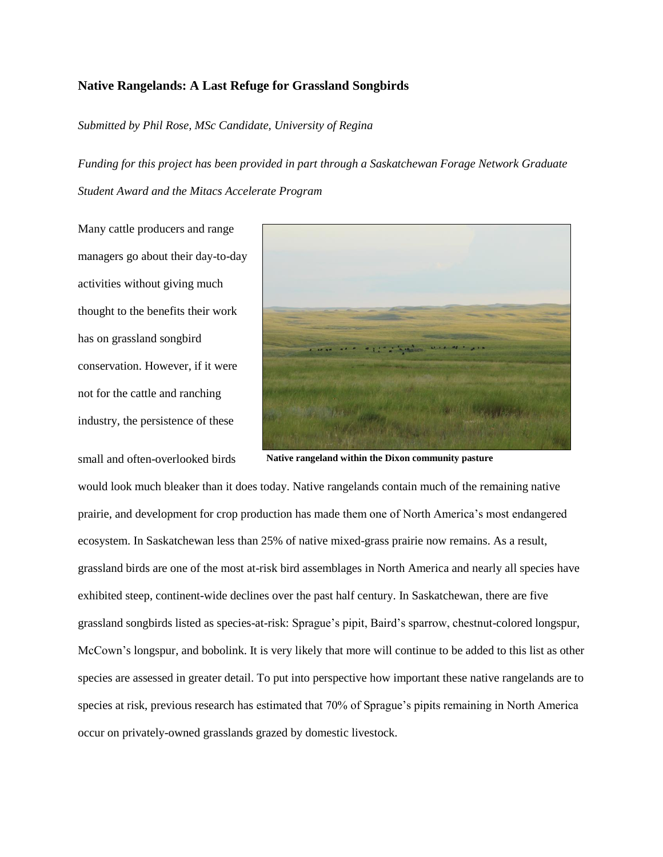## **Native Rangelands: A Last Refuge for Grassland Songbirds**

*Submitted by Phil Rose, MSc Candidate, University of Regina*

*Funding for this project has been provided in part through a Saskatchewan Forage Network Graduate Student Award and the Mitacs Accelerate Program*

Many cattle producers and range managers go about their day-to-day activities without giving much thought to the benefits their work has on grassland songbird conservation. However, if it were not for the cattle and ranching industry, the persistence of these

small and often-overlooked birds



**Native rangeland within the Dixon community pasture**

would look much bleaker than it does today. Native rangelands contain much of the remaining native prairie, and development for crop production has made them one of North America's most endangered ecosystem. In Saskatchewan less than 25% of native mixed-grass prairie now remains. As a result, grassland birds are one of the most at-risk bird assemblages in North America and nearly all species have exhibited steep, continent-wide declines over the past half century. In Saskatchewan, there are five grassland songbirds listed as species-at-risk: Sprague's pipit, Baird's sparrow, chestnut-colored longspur, McCown's longspur, and bobolink. It is very likely that more will continue to be added to this list as other species are assessed in greater detail. To put into perspective how important these native rangelands are to species at risk, previous research has estimated that 70% of Sprague's pipits remaining in North America occur on privately-owned grasslands grazed by domestic livestock.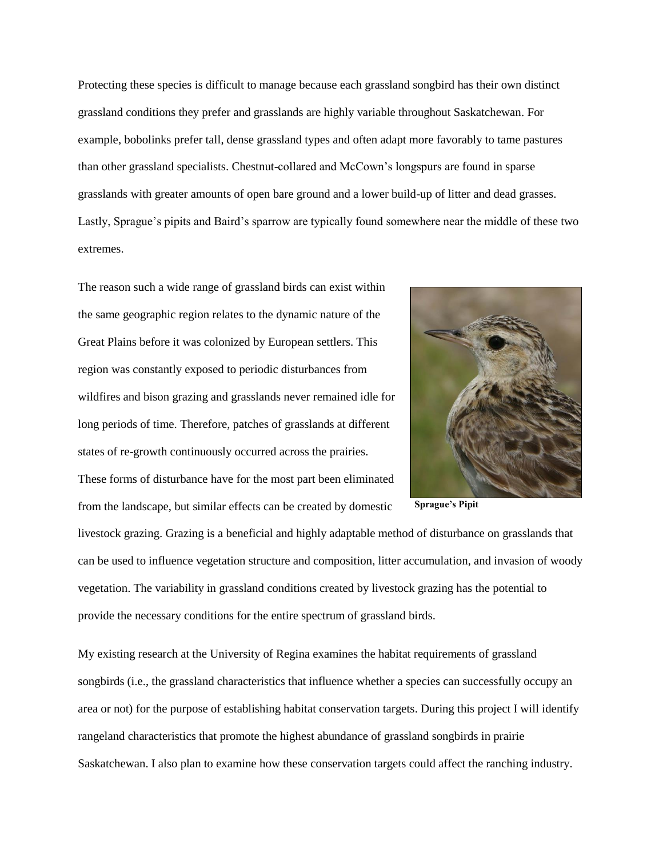Protecting these species is difficult to manage because each grassland songbird has their own distinct grassland conditions they prefer and grasslands are highly variable throughout Saskatchewan. For example, bobolinks prefer tall, dense grassland types and often adapt more favorably to tame pastures than other grassland specialists. Chestnut-collared and McCown's longspurs are found in sparse grasslands with greater amounts of open bare ground and a lower build-up of litter and dead grasses. Lastly, Sprague's pipits and Baird's sparrow are typically found somewhere near the middle of these two extremes.

The reason such a wide range of grassland birds can exist within the same geographic region relates to the dynamic nature of the Great Plains before it was colonized by European settlers. This region was constantly exposed to periodic disturbances from wildfires and bison grazing and grasslands never remained idle for long periods of time. Therefore, patches of grasslands at different states of re-growth continuously occurred across the prairies. These forms of disturbance have for the most part been eliminated from the landscape, but similar effects can be created by domestic



**Sprague's Pipit**

livestock grazing. Grazing is a beneficial and highly adaptable method of disturbance on grasslands that can be used to influence vegetation structure and composition, litter accumulation, and invasion of woody vegetation. The variability in grassland conditions created by livestock grazing has the potential to provide the necessary conditions for the entire spectrum of grassland birds.

My existing research at the University of Regina examines the habitat requirements of grassland songbirds (i.e., the grassland characteristics that influence whether a species can successfully occupy an area or not) for the purpose of establishing habitat conservation targets. During this project I will identify rangeland characteristics that promote the highest abundance of grassland songbirds in prairie Saskatchewan. I also plan to examine how these conservation targets could affect the ranching industry.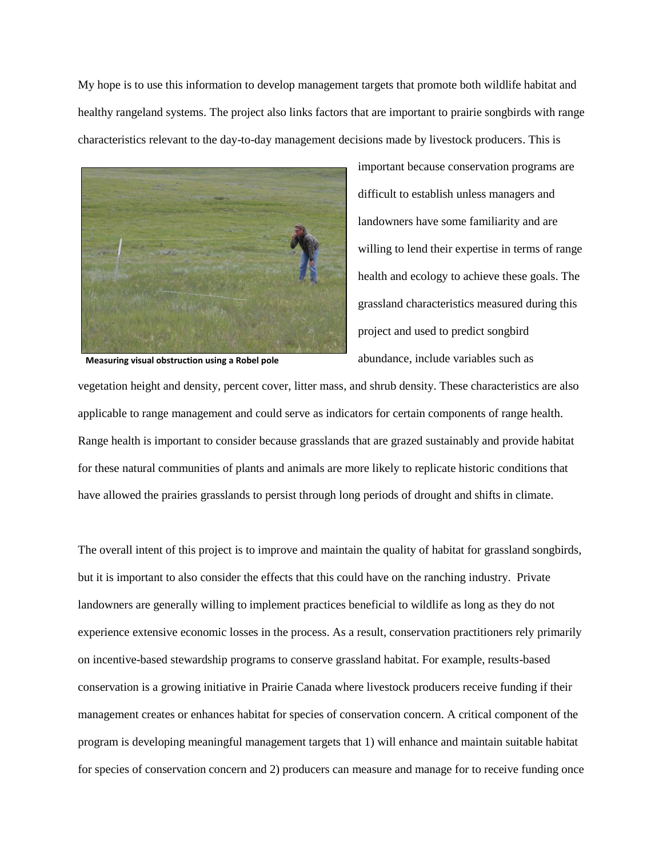My hope is to use this information to develop management targets that promote both wildlife habitat and healthy rangeland systems. The project also links factors that are important to prairie songbirds with range characteristics relevant to the day-to-day management decisions made by livestock producers. This is



difficult to establish unless managers and landowners have some familiarity and are willing to lend their expertise in terms of range health and ecology to achieve these goals. The grassland characteristics measured during this project and used to predict songbird abundance, include variables such as

important because conservation programs are

**Measuring visual obstruction using a Robel pole**

vegetation height and density, percent cover, litter mass, and shrub density. These characteristics are also applicable to range management and could serve as indicators for certain components of range health. Range health is important to consider because grasslands that are grazed sustainably and provide habitat for these natural communities of plants and animals are more likely to replicate historic conditions that have allowed the prairies grasslands to persist through long periods of drought and shifts in climate.

The overall intent of this project is to improve and maintain the quality of habitat for grassland songbirds, but it is important to also consider the effects that this could have on the ranching industry. Private landowners are generally willing to implement practices beneficial to wildlife as long as they do not experience extensive economic losses in the process. As a result, conservation practitioners rely primarily on incentive-based stewardship programs to conserve grassland habitat. For example, results-based conservation is a growing initiative in Prairie Canada where livestock producers receive funding if their management creates or enhances habitat for species of conservation concern. A critical component of the program is developing meaningful management targets that 1) will enhance and maintain suitable habitat for species of conservation concern and 2) producers can measure and manage for to receive funding once